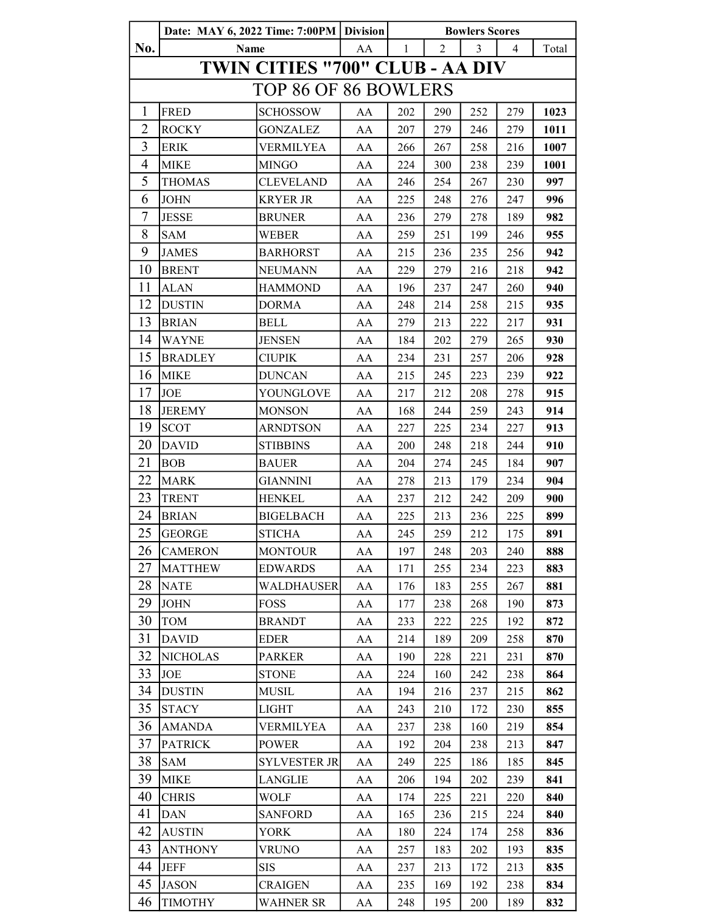|                      | Date: MAY 6, 2022 Time: 7:00PM   Division |                                 |            | <b>Bowlers Scores</b> |     |     |     |       |  |  |  |
|----------------------|-------------------------------------------|---------------------------------|------------|-----------------------|-----|-----|-----|-------|--|--|--|
| No.                  | Name                                      |                                 | AA         | $\mathbf{1}$          | 2   | 3   | 4   | Total |  |  |  |
|                      |                                           | TWIN CITIES "700" CLUB - AA DIV |            |                       |     |     |     |       |  |  |  |
| TOP 86 OF 86 BOWLERS |                                           |                                 |            |                       |     |     |     |       |  |  |  |
| $\mathbf{1}$         | <b>FRED</b>                               | <b>SCHOSSOW</b>                 | AA         | 202                   | 290 | 252 | 279 | 1023  |  |  |  |
| $\overline{2}$       | <b>ROCKY</b>                              | GONZALEZ                        | AA         | 207                   | 279 | 246 | 279 | 1011  |  |  |  |
| 3                    | <b>ERIK</b>                               | <b>VERMILYEA</b>                | AA         | 266                   | 267 | 258 | 216 | 1007  |  |  |  |
| $\overline{4}$       | <b>MIKE</b>                               | <b>MINGO</b>                    | AA         | 224                   | 300 | 238 | 239 | 1001  |  |  |  |
| 5                    | <b>THOMAS</b>                             | <b>CLEVELAND</b>                | AA         | 246                   | 254 | 267 | 230 | 997   |  |  |  |
| 6                    | <b>JOHN</b>                               | <b>KRYER JR</b>                 | AA         | 225                   | 248 | 276 | 247 | 996   |  |  |  |
| 7                    | <b>JESSE</b>                              | <b>BRUNER</b>                   | AA         | 236                   | 279 | 278 | 189 | 982   |  |  |  |
| 8                    | <b>SAM</b>                                | WEBER                           | AA         | 259                   | 251 | 199 | 246 | 955   |  |  |  |
| 9                    | <b>JAMES</b>                              | <b>BARHORST</b>                 | AA         | 215                   | 236 | 235 | 256 | 942   |  |  |  |
| 10                   | <b>BRENT</b>                              | <b>NEUMANN</b>                  | AA         | 229                   | 279 | 216 | 218 | 942   |  |  |  |
| 11                   | <b>ALAN</b>                               | <b>HAMMOND</b>                  | AA         | 196                   | 237 | 247 | 260 | 940   |  |  |  |
| 12                   | <b>DUSTIN</b>                             | <b>DORMA</b>                    | AA         | 248                   | 214 | 258 | 215 | 935   |  |  |  |
| 13                   | <b>BRIAN</b>                              | <b>BELL</b>                     | AA         | 279                   | 213 | 222 | 217 | 931   |  |  |  |
| 14                   | <b>WAYNE</b>                              | <b>JENSEN</b>                   | AA         | 184                   | 202 | 279 | 265 | 930   |  |  |  |
| 15                   | <b>BRADLEY</b>                            | <b>CIUPIK</b>                   | AA         | 234                   | 231 | 257 | 206 | 928   |  |  |  |
| 16                   | <b>MIKE</b>                               | <b>DUNCAN</b>                   | AA         | 215                   | 245 | 223 | 239 | 922   |  |  |  |
| 17                   | <b>JOE</b>                                | YOUNGLOVE                       | AA         | 217                   | 212 | 208 | 278 | 915   |  |  |  |
| 18                   | <b>JEREMY</b>                             | <b>MONSON</b>                   | AA         | 168                   | 244 | 259 | 243 | 914   |  |  |  |
| 19                   | <b>SCOT</b>                               | ARNDTSON                        | AA         | 227                   | 225 | 234 | 227 | 913   |  |  |  |
| 20                   | <b>DAVID</b>                              | <b>STIBBINS</b>                 | AA         | 200                   | 248 | 218 | 244 | 910   |  |  |  |
| 21                   | <b>BOB</b>                                | <b>BAUER</b>                    | AA         | 204                   | 274 | 245 | 184 | 907   |  |  |  |
| 22                   | <b>MARK</b>                               | <b>GIANNINI</b>                 | AA         | 278                   | 213 | 179 | 234 | 904   |  |  |  |
| 23                   | <b>TRENT</b>                              | <b>HENKEL</b>                   | AA         | 237                   | 212 | 242 | 209 | 900   |  |  |  |
| 24                   | <b>BRIAN</b>                              | <b>BIGELBACH</b>                | AA         | 225                   | 213 | 236 | 225 | 899   |  |  |  |
| 25                   | <b>GEORGE</b>                             | <b>STICHA</b>                   | AA         | 245                   | 259 | 212 | 175 | 891   |  |  |  |
| 26                   | <b>CAMERON</b>                            | <b>MONTOUR</b>                  | AA         | 197                   | 248 | 203 | 240 | 888   |  |  |  |
| 27                   | <b>MATTHEW</b>                            | <b>EDWARDS</b>                  | AA         | 171                   | 255 | 234 | 223 | 883   |  |  |  |
| 28                   | <b>NATE</b>                               | <b>WALDHAUSER</b>               | AA         | 176                   | 183 | 255 | 267 | 881   |  |  |  |
| 29                   | <b>JOHN</b>                               | <b>FOSS</b>                     | AA         | 177                   | 238 | 268 | 190 | 873   |  |  |  |
| 30                   | <b>TOM</b>                                | <b>BRANDT</b>                   | AA         | 233                   | 222 | 225 | 192 | 872   |  |  |  |
| 31                   | <b>DAVID</b>                              | <b>EDER</b>                     | AA         | 214                   | 189 | 209 | 258 | 870   |  |  |  |
| 32                   | <b>NICHOLAS</b>                           | <b>PARKER</b>                   | AA         | 190                   | 228 | 221 | 231 | 870   |  |  |  |
| 33                   | <b>JOE</b>                                | <b>STONE</b>                    | AA         | 224                   | 160 | 242 | 238 | 864   |  |  |  |
| 34                   | <b>DUSTIN</b>                             | MUSIL                           | AA         | 194                   | 216 | 237 | 215 | 862   |  |  |  |
| 35                   | <b>STACY</b>                              | <b>LIGHT</b>                    | AA         | 243                   | 210 | 172 | 230 | 855   |  |  |  |
| 36                   | <b>AMANDA</b>                             | <b>VERMILYEA</b>                | AA         | 237                   | 238 | 160 | 219 | 854   |  |  |  |
| 37                   | <b>PATRICK</b>                            | <b>POWER</b>                    | AA         | 192                   | 204 | 238 | 213 | 847   |  |  |  |
| 38                   | <b>SAM</b>                                | <b>SYLVESTER JR</b>             | AA         | 249                   | 225 | 186 | 185 | 845   |  |  |  |
| 39                   | <b>MIKE</b>                               | LANGLIE                         | AA         | 206                   | 194 | 202 | 239 | 841   |  |  |  |
| 40                   | <b>CHRIS</b>                              | <b>WOLF</b>                     | AA         | 174                   | 225 | 221 | 220 | 840   |  |  |  |
| 41                   | <b>DAN</b>                                | <b>SANFORD</b>                  | AA         | 165                   | 236 | 215 | 224 | 840   |  |  |  |
| 42                   | <b>AUSTIN</b>                             | <b>YORK</b>                     | AA         | 180                   | 224 | 174 | 258 | 836   |  |  |  |
| 43                   | <b>ANTHONY</b>                            | <b>VRUNO</b>                    | AA         | 257                   | 183 | 202 | 193 | 835   |  |  |  |
| 44                   | <b>JEFF</b>                               | <b>SIS</b>                      | AA         | 237                   | 213 | 172 | 213 | 835   |  |  |  |
| 45                   | <b>JASON</b>                              | <b>CRAIGEN</b>                  | ${\rm AA}$ | 235                   | 169 | 192 | 238 | 834   |  |  |  |
| 46                   | <b>TIMOTHY</b>                            | WAHNER SR                       | AA         | 248                   | 195 | 200 | 189 | 832   |  |  |  |